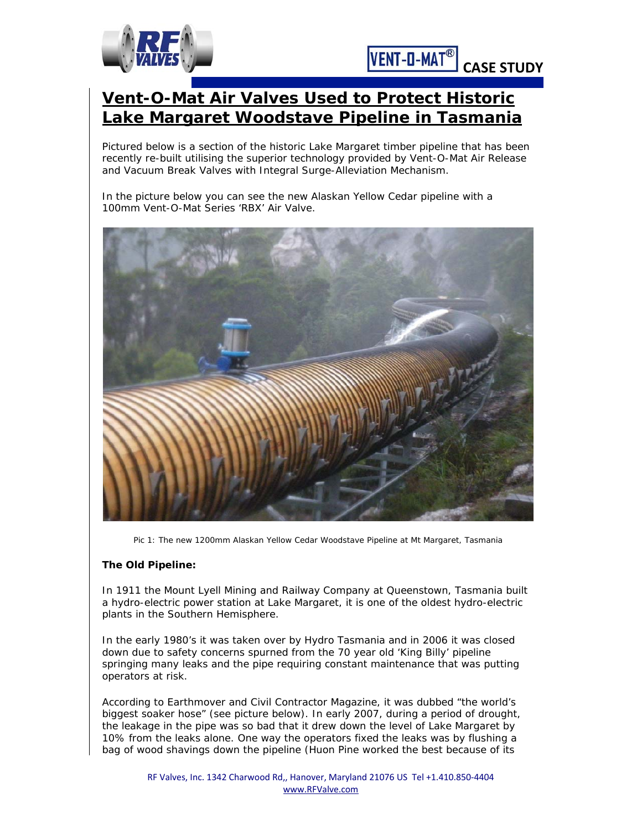



# **Vent-O-Mat Air Valves Used to Protect Historic Lake Margaret Woodstave Pipeline in Tasmania**

Pictured below is a section of the historic Lake Margaret timber pipeline that has been recently re-built utilising the superior technology provided by Vent-O-Mat Air Release and Vacuum Break Valves with Integral Surge-Alleviation Mechanism.

In the picture below you can see the new Alaskan Yellow Cedar pipeline with a 100mm Vent-O-Mat Series 'RBX' Air Valve.



*Pic 1: The new 1200mm Alaskan Yellow Cedar Woodstave Pipeline at Mt Margaret, Tasmania*

## **The Old Pipeline:**

In 1911 the Mount Lyell Mining and Railway Company at Queenstown, Tasmania built a hydro-electric power station at Lake Margaret, it is one of the oldest hydro-electric plants in the Southern Hemisphere.

In the early 1980's it was taken over by Hydro Tasmania and in 2006 it was closed down due to safety concerns spurned from the 70 year old 'King Billy' pipeline springing many leaks and the pipe requiring constant maintenance that was putting operators at risk.

According to Earthmover and Civil Contractor Magazine, it was dubbed "the world's biggest soaker hose" (see picture below). In early 2007, during a period of drought, the leakage in the pipe was so bad that it drew down the level of Lake Margaret by 10% from the leaks alone. One way the operators fixed the leaks was by flushing a bag of wood shavings down the pipeline (Huon Pine worked the best because of its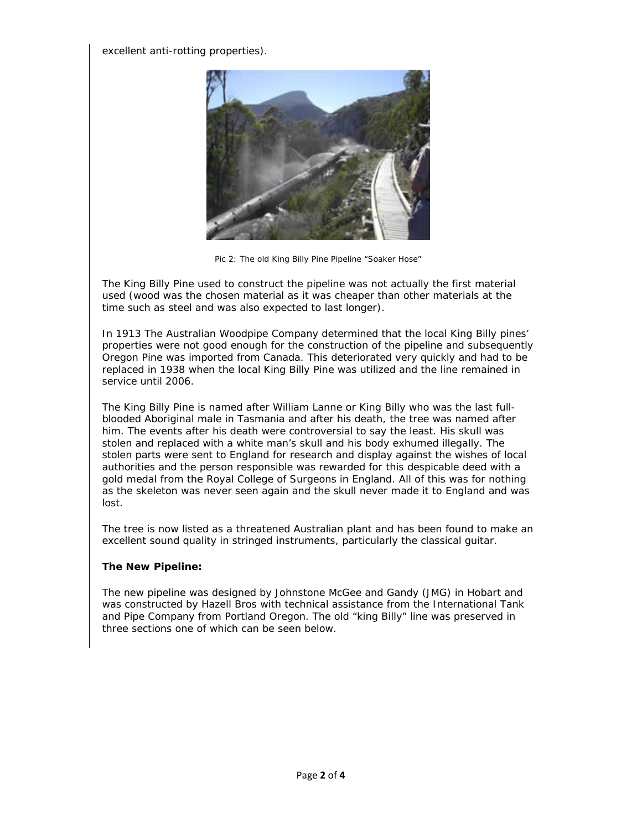excellent anti-rotting properties).



*Pic 2: The old King Billy Pine Pipeline "Soaker Hose"*

The King Billy Pine used to construct the pipeline was not actually the first material used (wood was the chosen material as it was cheaper than other materials at the time such as steel and was also expected to last longer).

In 1913 The Australian Woodpipe Company determined that the local King Billy pines' properties were not good enough for the construction of the pipeline and subsequently Oregon Pine was imported from Canada. This deteriorated very quickly and had to be replaced in 1938 when the local King Billy Pine was utilized and the line remained in service until 2006.

The King Billy Pine is named after William Lanne or King Billy who was the last fullblooded Aboriginal male in Tasmania and after his death, the tree was named after him. The events after his death were controversial to say the least. His skull was stolen and replaced with a white man's skull and his body exhumed illegally. The stolen parts were sent to England for research and display against the wishes of local authorities and the person responsible was rewarded for this despicable deed with a gold medal from the Royal College of Surgeons in England. All of this was for nothing as the skeleton was never seen again and the skull never made it to England and was lost.

The tree is now listed as a threatened Australian plant and has been found to make an excellent sound quality in stringed instruments, particularly the classical guitar.

## **The New Pipeline:**

The new pipeline was designed by Johnstone McGee and Gandy (JMG) in Hobart and was constructed by Hazell Bros with technical assistance from the International Tank and Pipe Company from Portland Oregon. The old "king Billy" line was preserved in three sections one of which can be seen below.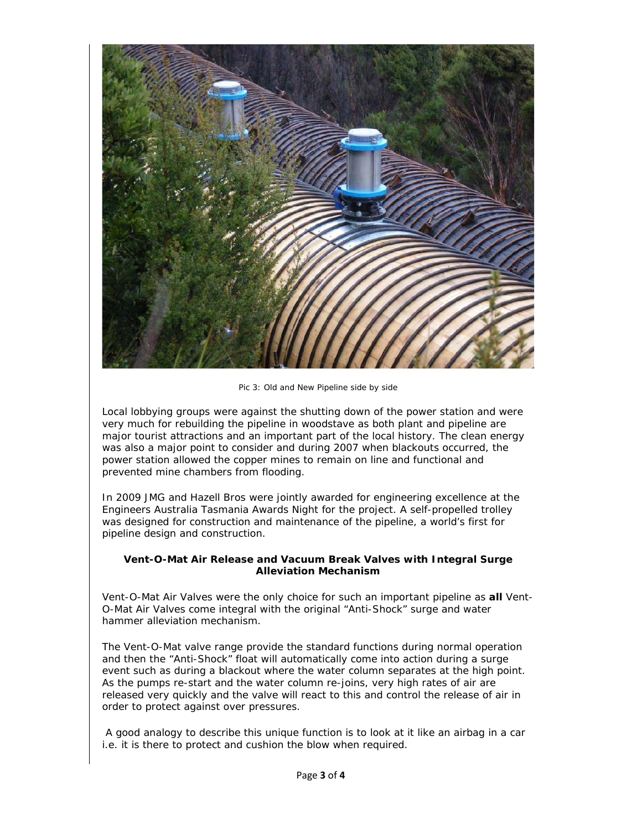

*Pic 3: Old and New Pipeline side by side*

Local lobbying groups were against the shutting down of the power station and were very much for rebuilding the pipeline in woodstave as both plant and pipeline are major tourist attractions and an important part of the local history. The clean energy was also a major point to consider and during 2007 when blackouts occurred, the power station allowed the copper mines to remain on line and functional and prevented mine chambers from flooding.

In 2009 JMG and Hazell Bros were jointly awarded for engineering excellence at the Engineers Australia Tasmania Awards Night for the project. A self-propelled trolley was designed for construction and maintenance of the pipeline, a world's first for pipeline design and construction.

#### **Vent-O-Mat Air Release and Vacuum Break Valves with Integral Surge Alleviation Mechanism**

Vent-O-Mat Air Valves were the only choice for such an important pipeline as **all** Vent-O-Mat Air Valves come integral with the original "Anti-Shock" surge and water hammer alleviation mechanism.

The Vent-O-Mat valve range provide the standard functions during normal operation and then the "Anti-Shock" float will automatically come into action during a surge event such as during a blackout where the water column separates at the high point. As the pumps re-start and the water column re-joins, very high rates of air are released very quickly and the valve will react to this and control the release of air in order to protect against over pressures.

 A good analogy to describe this unique function is to look at it like an airbag in a car i.e. it is there to protect and cushion the blow when required.